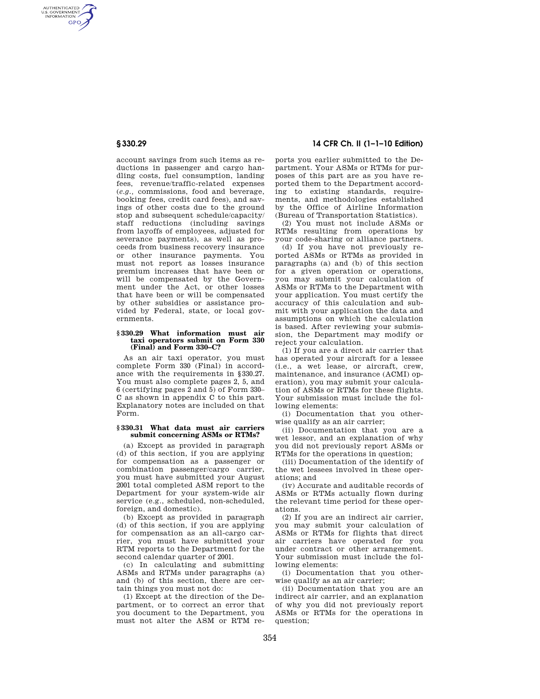AUTHENTICATED<br>U.S. GOVERNMENT<br>INFORMATION **GPO** 

> account savings from such items as reductions in passenger and cargo handling costs, fuel consumption, landing fees, revenue/traffic-related expenses (*e.g.,* commissions, food and beverage, booking fees, credit card fees), and savings of other costs due to the ground stop and subsequent schedule/capacity/ staff reductions (including savings from layoffs of employees, adjusted for severance payments), as well as proceeds from business recovery insurance or other insurance payments. You must not report as losses insurance premium increases that have been or will be compensated by the Government under the Act, or other losses that have been or will be compensated by other subsidies or assistance provided by Federal, state, or local governments.

#### **§ 330.29 What information must air taxi operators submit on Form 330 (Final) and Form 330–C?**

As an air taxi operator, you must complete Form 330 (Final) in accordance with the requirements in §330.27. You must also complete pages 2, 5, and 6 (certifying pages 2 and 5) of Form 330– C as shown in appendix C to this part. Explanatory notes are included on that Form.

### **§ 330.31 What data must air carriers submit concerning ASMs or RTMs?**

(a) Except as provided in paragraph (d) of this section, if you are applying for compensation as a passenger or combination passenger/cargo carrier, you must have submitted your August 2001 total completed ASM report to the Department for your system-wide air service (e.g., scheduled, non-scheduled, foreign, and domestic).

(b) Except as provided in paragraph (d) of this section, if you are applying for compensation as an all-cargo carrier, you must have submitted your RTM reports to the Department for the second calendar quarter of 2001.

(c) In calculating and submitting ASMs and RTMs under paragraphs (a) and (b) of this section, there are certain things you must not do:

(1) Except at the direction of the Department, or to correct an error that you document to the Department, you must not alter the ASM or RTM re-

# **§ 330.29 14 CFR Ch. II (1–1–10 Edition)**

ports you earlier submitted to the Department. Your ASMs or RTMs for purposes of this part are as you have reported them to the Department according to existing standards, requirements, and methodologies established by the Office of Airline Information (Bureau of Transportation Statistics).

(2) You must not include ASMs or RTMs resulting from operations by your code-sharing or alliance partners.

(d) If you have not previously reported ASMs or RTMs as provided in paragraphs (a) and (b) of this section for a given operation or operations, you may submit your calculation of ASMs or RTMs to the Department with your application. You must certify the accuracy of this calculation and submit with your application the data and assumptions on which the calculation is based. After reviewing your submission, the Department may modify or reject your calculation.

(1) If you are a direct air carrier that has operated your aircraft for a lessee (i.e., a wet lease, or aircraft, crew, maintenance, and insurance (ACMI) operation), you may submit your calculation of ASMs or RTMs for these flights. Your submission must include the following elements:

(i) Documentation that you otherwise qualify as an air carrier;

(ii) Documentation that you are a wet lessor, and an explanation of why you did not previously report ASMs or RTMs for the operations in question;

(iii) Documentation of the identify of the wet lessees involved in these operations; and

(iv) Accurate and auditable records of ASMs or RTMs actually flown during the relevant time period for these operations.

(2) If you are an indirect air carrier, you may submit your calculation of ASMs or RTMs for flights that direct air carriers have operated for you under contract or other arrangement. Your submission must include the following elements:

(i) Documentation that you otherwise qualify as an air carrier;

(ii) Documentation that you are an indirect air carrier, and an explanation of why you did not previously report ASMs or RTMs for the operations in question;